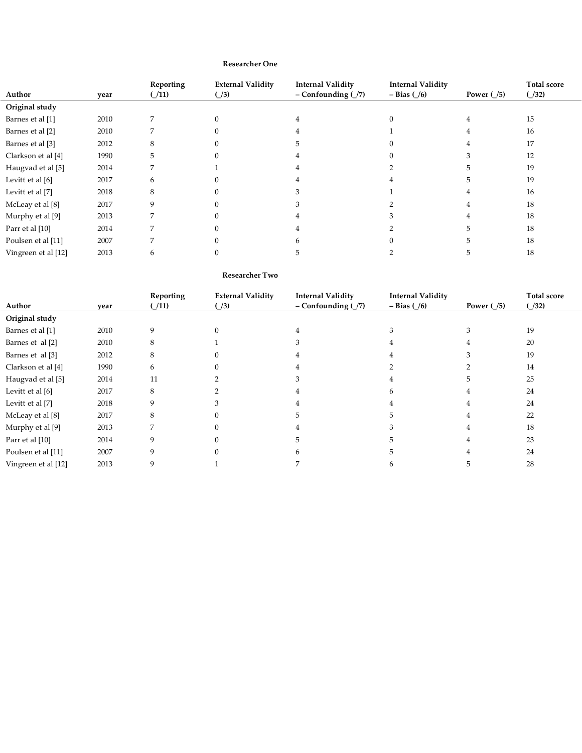## **Researcher One**

| Author              | year | Reporting<br>(11) | <b>External Validity</b><br>$\left(\frac{1}{3}\right)$ | <b>Internal Validity</b><br>$-$ Confounding $($ /7) | <b>Internal Validity</b><br>$- Bias (6)$ | Power $\binom{5}{5}$ | <b>Total score</b><br>(132) |
|---------------------|------|-------------------|--------------------------------------------------------|-----------------------------------------------------|------------------------------------------|----------------------|-----------------------------|
| Original study      |      |                   |                                                        |                                                     |                                          |                      |                             |
| Barnes et al [1]    | 2010 |                   |                                                        |                                                     |                                          |                      | 15                          |
| Barnes et al [2]    | 2010 |                   |                                                        |                                                     |                                          |                      | 16                          |
| Barnes et al [3]    | 2012 |                   |                                                        |                                                     |                                          |                      | 17                          |
| Clarkson et al [4]  | 1990 |                   |                                                        |                                                     |                                          |                      | 12                          |
| Haugvad et al [5]   | 2014 |                   |                                                        |                                                     |                                          |                      | 19                          |
| Levitt et al [6]    | 2017 |                   |                                                        |                                                     |                                          |                      | 19                          |
| Levitt et al [7]    | 2018 | 8                 |                                                        |                                                     |                                          |                      | 16                          |
| McLeay et al [8]    | 2017 |                   |                                                        |                                                     |                                          |                      | 18                          |
| Murphy et al [9]    | 2013 |                   |                                                        |                                                     |                                          |                      | 18                          |
| Parr et al [10]     | 2014 |                   |                                                        |                                                     |                                          |                      | 18                          |
| Poulsen et al [11]  | 2007 |                   |                                                        |                                                     |                                          |                      | 18                          |
| Vingreen et al [12] | 2013 |                   |                                                        |                                                     |                                          |                      | 18                          |

## **Researcher Two**

| Author              | year | Reporting<br>(11) | <b>External Validity</b><br>$\bigcup$ 3) | <b>Internal Validity</b><br>$-$ Confounding $($ /7) | <b>Internal Validity</b><br>$- Bias (1/6)$ | Power $( /5)$ | <b>Total score</b><br>(132) |
|---------------------|------|-------------------|------------------------------------------|-----------------------------------------------------|--------------------------------------------|---------------|-----------------------------|
| Original study      |      |                   |                                          |                                                     |                                            |               |                             |
| Barnes et al [1]    | 2010 | 9                 |                                          |                                                     |                                            |               | 19                          |
| Barnes et al [2]    | 2010 | 8                 |                                          | 3                                                   |                                            |               | 20                          |
| Barnes et al [3]    | 2012 | 8                 |                                          |                                                     |                                            |               | 19                          |
| Clarkson et al [4]  | 1990 | 6                 |                                          |                                                     |                                            |               | 14                          |
| Haugvad et al [5]   | 2014 | 11                |                                          |                                                     |                                            |               | 25                          |
| Levitt et al [6]    | 2017 | 8                 |                                          |                                                     | h                                          |               | 24                          |
| Levitt et al [7]    | 2018 | 9                 |                                          |                                                     |                                            |               | 24                          |
| McLeay et al [8]    | 2017 | 8                 |                                          |                                                     |                                            |               | 22                          |
| Murphy et al [9]    | 2013 |                   |                                          |                                                     |                                            |               | 18                          |
| Parr et al [10]     | 2014 | 9                 |                                          | 5                                                   |                                            |               | 23                          |
| Poulsen et al [11]  | 2007 | q                 |                                          | n                                                   |                                            |               | 24                          |
| Vingreen et al [12] | 2013 | 9                 |                                          |                                                     | h                                          |               | 28                          |